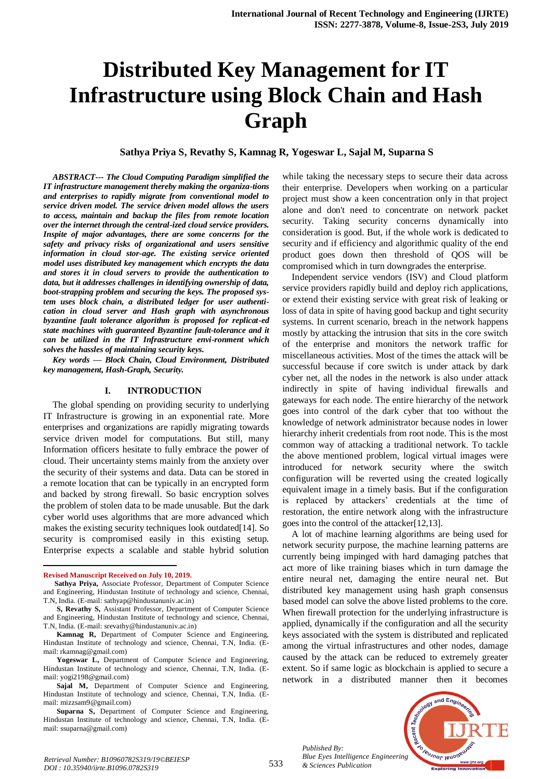# **Distributed Key Management for IT Infrastructure using Block Chain and Hash Graph**

**Sathya Priya S, Revathy S, Kamnag R, Yogeswar L, Sajal M, Suparna S**

*ABSTRACT--- The Cloud Computing Paradigm simplified the IT infrastructure management thereby making the organiza-tions and enterprises to rapidly migrate from conventional model to service driven model. The service driven model allows the users to access, maintain and backup the files from remote location over the internet through the central-ized cloud service providers. Inspite of major advantages, there are some concerns for the safety and privacy risks of organizational and users sensitive information in cloud stor-age. The existing service oriented model uses distributed key management which encrypts the data and stores it in cloud servers to provide the authentication to data, but it addresses challenges in identifying ownership of data, boot-strapping problem and securing the keys. The proposed system uses block chain, a distributed ledger for user authentication in cloud server and Hash graph with asynchronous byzantine fault tolerance algorithm is proposed for replicat-ed state machines with guaranteed Byzantine fault-tolerance and it can be utilized in the IT Infrastructure envi-ronment which solves the hassles of maintaining security keys.*

*Key words — Block Chain, Cloud Environment, Distributed key management, Hash-Graph, Security.*

#### **I. INTRODUCTION**

The global spending on providing security to underlying IT Infrastructure is growing in an exponential rate. More enterprises and organizations are rapidly migrating towards service driven model for computations. But still, many Information officers hesitate to fully embrace the power of cloud. Their uncertainty stems mainly from the anxiety over the security of their systems and data. Data can be stored in a remote location that can be typically in an encrypted form and backed by strong firewall. So basic encryption solves the problem of stolen data to be made unusable. But the dark cyber world uses algorithms that are more advanced which makes the existing security techniques look outdated[14]. So security is compromised easily in this existing setup. Enterprise expects a scalable and stable hybrid solution

 $\overline{a}$ 

while taking the necessary steps to secure their data across their enterprise. Developers when working on a particular project must show a keen concentration only in that project alone and don't need to concentrate on network packet security. Taking security concerns dynamically into consideration is good. But, if the whole work is dedicated to security and if efficiency and algorithmic quality of the end product goes down then threshold of QOS will be compromised which in turn downgrades the enterprise.

Independent service vendors (ISV) and Cloud platform service providers rapidly build and deploy rich applications, or extend their existing service with great risk of leaking or loss of data in spite of having good backup and tight security systems. In current scenario, breach in the network happens mostly by attacking the intrusion that sits in the core switch of the enterprise and monitors the network traffic for miscellaneous activities. Most of the times the attack will be successful because if core switch is under attack by dark cyber net, all the nodes in the network is also under attack indirectly in spite of having individual firewalls and gateways for each node. The entire hierarchy of the network goes into control of the dark cyber that too without the knowledge of network administrator because nodes in lower hierarchy inherit credentials from root node. This is the most common way of attacking a traditional network. To tackle the above mentioned problem, logical virtual images were introduced for network security where the switch configuration will be reverted using the created logically equivalent image in a timely basis. But if the configuration is replaced by attackers' credentials at the time of restoration, the entire network along with the infrastructure goes into the control of the attacker[12,13].

A lot of machine learning algorithms are being used for network security purpose, the machine learning patterns are currently being impinged with hard damaging patches that act more of like training biases which in turn damage the entire neural net, damaging the entire neural net. But distributed key management using hash graph consensus based model can solve the above listed problems to the core. When firewall protection for the underlying infrastructure is applied, dynamically if the configuration and all the security keys associated with the system is distributed and replicated among the virtual infrastructures and other nodes, damage caused by the attack can be reduced to extremely greater extent. So if same logic as blockchain is applied to secure a network in a distributed manner then it becomes

*Published By: Blue Eyes Intelligence Engineering & Sciences Publication* 



**Revised Manuscript Received on July 10, 2019.**

**Sathya Priya,** Associate Professor, Department of Computer Science and Engineering, Hindustan Institute of technology and science, Chennai, T.N, India. (E-mail: sathyap@hindustanuniv.ac.in)

**S, Revathy S,** Assistant Professor, Department of Computer Science and Engineering, Hindustan Institute of technology and science, Chennai, T.N, India. (E-mail: srevathy@hindustanuniv.ac.in)

**Kamnag R,** Department of Computer Science and Engineering, Hindustan Institute of technology and science, Chennai, T.N, India. (Email: rkamnag@gmail.com)

**Yogeswar L,** Department of Computer Science and Engineering, Hindustan Institute of technology and science, Chennai, T.N, India. (Email: yogi2198@gmail.com)

**Sajal M,** Department of Computer Science and Engineering, Hindustan Institute of technology and science, Chennai, T.N, India. (Email: mizzsam9@gmail.com)

**Suparna S,** Department of Computer Science and Engineering, Hindustan Institute of technology and science, Chennai, T.N, India. (Email: ssuparna@gmail.com)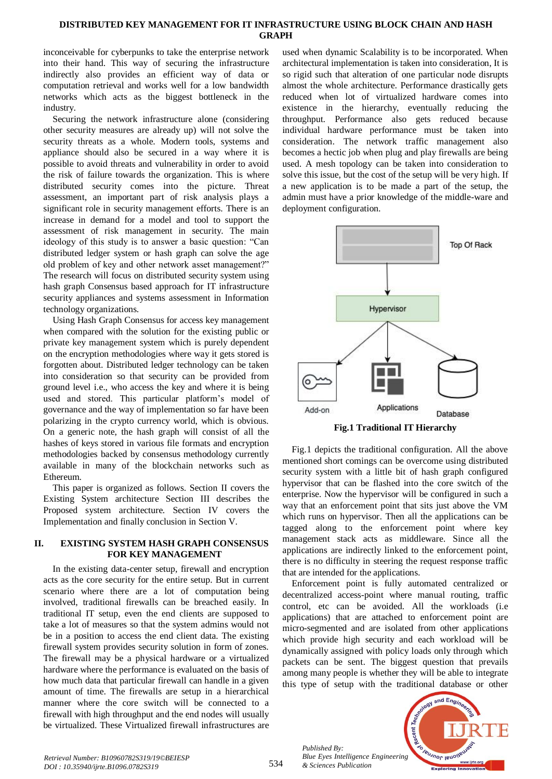# **DISTRIBUTED KEY MANAGEMENT FOR IT INFRASTRUCTURE USING BLOCK CHAIN AND HASH GRAPH**

inconceivable for cyberpunks to take the enterprise network into their hand. This way of securing the infrastructure indirectly also provides an efficient way of data or computation retrieval and works well for a low bandwidth networks which acts as the biggest bottleneck in the industry.

Securing the network infrastructure alone (considering other security measures are already up) will not solve the security threats as a whole. Modern tools, systems and appliance should also be secured in a way where it is possible to avoid threats and vulnerability in order to avoid the risk of failure towards the organization. This is where distributed security comes into the picture. Threat assessment, an important part of risk analysis plays a significant role in security management efforts. There is an increase in demand for a model and tool to support the assessment of risk management in security. The main ideology of this study is to answer a basic question: "Can distributed ledger system or hash graph can solve the age old problem of key and other network asset management?" The research will focus on distributed security system using hash graph Consensus based approach for IT infrastructure security appliances and systems assessment in Information technology organizations.

Using Hash Graph Consensus for access key management when compared with the solution for the existing public or private key management system which is purely dependent on the encryption methodologies where way it gets stored is forgotten about. Distributed ledger technology can be taken into consideration so that security can be provided from ground level i.e., who access the key and where it is being used and stored. This particular platform's model of governance and the way of implementation so far have been polarizing in the crypto currency world, which is obvious. On a generic note, the hash graph will consist of all the hashes of keys stored in various file formats and encryption methodologies backed by consensus methodology currently available in many of the blockchain networks such as Ethereum.

This paper is organized as follows. Section II covers the Existing System architecture Section III describes the Proposed system architecture. Section IV covers the Implementation and finally conclusion in Section V.

# **II. EXISTING SYSTEM HASH GRAPH CONSENSUS FOR KEY MANAGEMENT**

In the existing data-center setup, firewall and encryption acts as the core security for the entire setup. But in current scenario where there are a lot of computation being involved, traditional firewalls can be breached easily. In traditional IT setup, even the end clients are supposed to take a lot of measures so that the system admins would not be in a position to access the end client data. The existing firewall system provides security solution in form of zones. The firewall may be a physical hardware or a virtualized hardware where the performance is evaluated on the basis of how much data that particular firewall can handle in a given amount of time. The firewalls are setup in a hierarchical manner where the core switch will be connected to a firewall with high throughput and the end nodes will usually be virtualized. These Virtualized firewall infrastructures are

used when dynamic Scalability is to be incorporated. When architectural implementation is taken into consideration, It is so rigid such that alteration of one particular node disrupts almost the whole architecture. Performance drastically gets reduced when lot of virtualized hardware comes into existence in the hierarchy, eventually reducing the throughput. Performance also gets reduced because individual hardware performance must be taken into consideration. The network traffic management also becomes a hectic job when plug and play firewalls are being used. A mesh topology can be taken into consideration to solve this issue, but the cost of the setup will be very high. If a new application is to be made a part of the setup, the admin must have a prior knowledge of the middle-ware and deployment configuration.



Fig.1 depicts the traditional configuration. All the above mentioned short comings can be overcome using distributed security system with a little bit of hash graph configured hypervisor that can be flashed into the core switch of the enterprise. Now the hypervisor will be configured in such a way that an enforcement point that sits just above the VM which runs on hypervisor. Then all the applications can be tagged along to the enforcement point where key management stack acts as middleware. Since all the applications are indirectly linked to the enforcement point, there is no difficulty in steering the request response traffic that are intended for the applications.

Enforcement point is fully automated centralized or decentralized access-point where manual routing, traffic control, etc can be avoided. All the workloads (i.e applications) that are attached to enforcement point are micro-segmented and are isolated from other applications which provide high security and each workload will be dynamically assigned with policy loads only through which packets can be sent. The biggest question that prevails among many people is whether they will be able to integrate this type of setup with the traditional database or other



*Retrieval Number: B10960782S319/19©BEIESP DOI : 10.35940/ijrte.B1096.0782S319*

*Published By:*

*& Sciences Publication*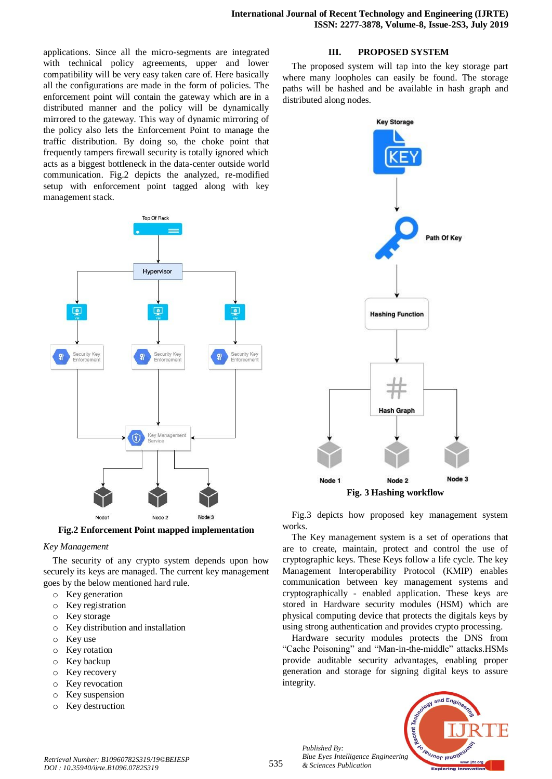applications. Since all the micro-segments are integrated with technical policy agreements, upper and lower compatibility will be very easy taken care of. Here basically all the configurations are made in the form of policies. The enforcement point will contain the gateway which are in a distributed manner and the policy will be dynamically mirrored to the gateway. This way of dynamic mirroring of the policy also lets the Enforcement Point to manage the traffic distribution. By doing so, the choke point that frequently tampers firewall security is totally ignored which acts as a biggest bottleneck in the data-center outside world communication. Fig.2 depicts the analyzed, re-modified setup with enforcement point tagged along with key management stack.



**Fig.2 Enforcement Point mapped implementation**

#### *Key Management*

The security of any crypto system depends upon how securely its keys are managed. The current key management goes by the below mentioned hard rule.

- o Key generation
- o Key registration
- o Key storage
- o Key distribution and installation
- o Key use
- o Key rotation
- o Key backup
- o Key recovery
- o Key revocation
- o Key suspension
- o Key destruction

### **III. PROPOSED SYSTEM**

The proposed system will tap into the key storage part where many loopholes can easily be found. The storage paths will be hashed and be available in hash graph and distributed along nodes.



Fig.3 depicts how proposed key management system works.

The Key management system is a set of operations that are to create, maintain, protect and control the use of cryptographic keys. These Keys follow a life cycle. The key Management Interoperability Protocol (KMIP) enables communication between key management systems and cryptographically - enabled application. These keys are stored in Hardware security modules (HSM) which are physical computing device that protects the digitals keys by using strong authentication and provides crypto processing.

Hardware security modules protects the DNS from "Cache Poisoning" and "Man-in-the-middle" attacks.HSMs provide auditable security advantages, enabling proper generation and storage for signing digital keys to assure integrity.



*Published By: Blue Eyes Intelligence Engineering & Sciences Publication*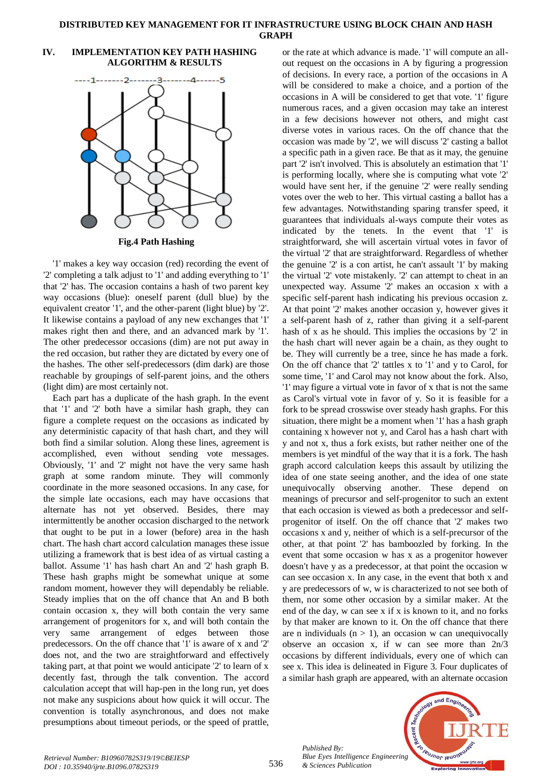#### **DISTRIBUTED KEY MANAGEMENT FOR IT INFRASTRUCTURE USING BLOCK CHAIN AND HASH GRAPH**

## **IV. IMPLEMENTATION KEY PATH HASHING ALGORITHM & RESULTS**



**Fig.4 Path Hashing**

'1' makes a key way occasion (red) recording the event of '2' completing a talk adjust to '1' and adding everything to '1' that '2' has. The occasion contains a hash of two parent key way occasions (blue): oneself parent (dull blue) by the equivalent creator '1', and the other-parent (light blue) by '2'. It likewise contains a payload of any new exchanges that '1' makes right then and there, and an advanced mark by '1'. The other predecessor occasions (dim) are not put away in the red occasion, but rather they are dictated by every one of the hashes. The other self-predecessors (dim dark) are those reachable by groupings of self-parent joins, and the others (light dim) are most certainly not.

Each part has a duplicate of the hash graph. In the event that '1' and '2' both have a similar hash graph, they can figure a complete request on the occasions as indicated by any deterministic capacity of that hash chart, and they will both find a similar solution. Along these lines, agreement is accomplished, even without sending vote messages. Obviously, '1' and '2' might not have the very same hash graph at some random minute. They will commonly coordinate in the more seasoned occasions. In any case, for the simple late occasions, each may have occasions that alternate has not yet observed. Besides, there may intermittently be another occasion discharged to the network that ought to be put in a lower (before) area in the hash chart. The hash chart accord calculation manages these issue utilizing a framework that is best idea of as virtual casting a ballot. Assume '1' has hash chart An and '2' hash graph B. These hash graphs might be somewhat unique at some random moment, however they will dependably be reliable. Steady implies that on the off chance that An and B both contain occasion x, they will both contain the very same arrangement of progenitors for x, and will both contain the very same arrangement of edges between those predecessors. On the off chance that '1' is aware of x and '2' does not, and the two are straightforward and effectively taking part, at that point we would anticipate '2' to learn of x decently fast, through the talk convention. The accord calculation accept that will hap-pen in the long run, yet does not make any suspicions about how quick it will occur. The convention is totally asynchronous, and does not make presumptions about timeout periods, or the speed of prattle,

or the rate at which advance is made. '1' will compute an allout request on the occasions in A by figuring a progression of decisions. In every race, a portion of the occasions in A will be considered to make a choice, and a portion of the occasions in A will be considered to get that vote. '1' figure numerous races, and a given occasion may take an interest in a few decisions however not others, and might cast diverse votes in various races. On the off chance that the occasion was made by '2', we will discuss '2' casting a ballot a specific path in a given race. Be that as it may, the genuine part '2' isn't involved. This is absolutely an estimation that '1' is performing locally, where she is computing what vote '2' would have sent her, if the genuine '2' were really sending votes over the web to her. This virtual casting a ballot has a few advantages. Notwithstanding sparing transfer speed, it guarantees that individuals al-ways compute their votes as indicated by the tenets. In the event that '1' is straightforward, she will ascertain virtual votes in favor of the virtual '2' that are straightforward. Regardless of whether the genuine '2' is a con artist, he can't assault '1' by making the virtual '2' vote mistakenly. '2' can attempt to cheat in an unexpected way. Assume '2' makes an occasion x with a specific self-parent hash indicating his previous occasion z. At that point '2' makes another occasion y, however gives it a self-parent hash of z, rather than giving it a self-parent hash of x as he should. This implies the occasions by '2' in the hash chart will never again be a chain, as they ought to be. They will currently be a tree, since he has made a fork. On the off chance that '2' tattles x to '1' and y to Carol, for some time, '1' and Carol may not know about the fork. Also, '1' may figure a virtual vote in favor of x that is not the same as Carol's virtual vote in favor of y. So it is feasible for a fork to be spread crosswise over steady hash graphs. For this situation, there might be a moment when '1' has a hash graph containing x however not y, and Carol has a hash chart with y and not x, thus a fork exists, but rather neither one of the members is yet mindful of the way that it is a fork. The hash graph accord calculation keeps this assault by utilizing the idea of one state seeing another, and the idea of one state unequivocally observing another. These depend on meanings of precursor and self-progenitor to such an extent that each occasion is viewed as both a predecessor and selfprogenitor of itself. On the off chance that '2' makes two occasions x and y, neither of which is a self-precursor of the other, at that point '2' has bamboozled by forking. In the event that some occasion w has x as a progenitor however doesn't have y as a predecessor, at that point the occasion w can see occasion x. In any case, in the event that both x and y are predecessors of w, w is characterized to not see both of them, nor some other occasion by a similar maker. At the end of the day, w can see x if x is known to it, and no forks by that maker are known to it. On the off chance that there are n individuals  $(n > 1)$ , an occasion w can unequivocally observe an occasion x, if w can see more than 2n/3 occasions by different individuals, every one of which can see x. This idea is delineated in Figure 3. Four duplicates of a similar hash graph are appeared, with an alternate occasion



*Published By:*

*& Sciences Publication*